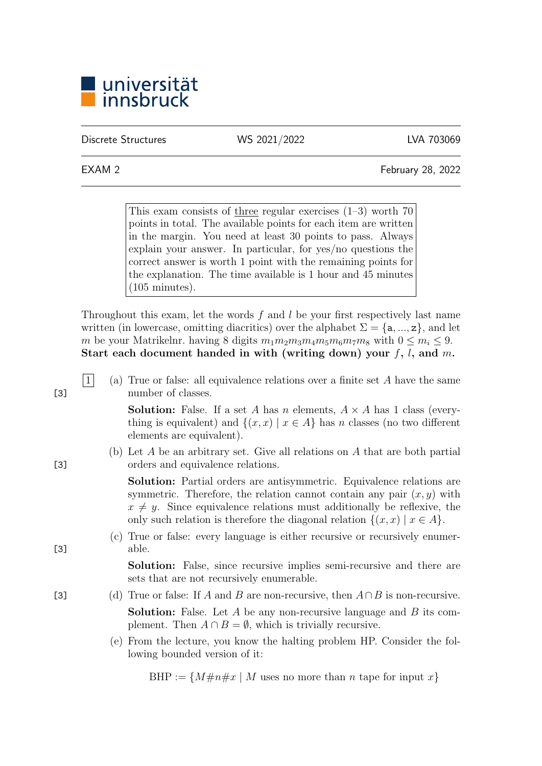

Discrete Structures WS 2021/2022 LVA 703069

EXAM 2 February 28, 2022

This exam consists of three regular exercises  $(1-3)$  worth 70 points in total. The available points for each item are written in the margin. You need at least 30 points to pass. Always explain your answer. In particular, for yes/no questions the correct answer is worth 1 point with the remaining points for the explanation. The time available is 1 hour and 45 minutes (105 minutes).

Throughout this exam, let the words f and l be your first respectively last name written (in lowercase, omitting diacritics) over the alphabet  $\Sigma = \{a, ..., z\}$ , and let m be your Matrikelnr. having 8 digits  $m_1m_2m_3m_4m_5m_6m_7m_8$  with  $0 \le m_i \le 9$ . Start each document handed in with (writing down) your  $f, l$ , and  $m$ .

|1| (a) True or false: all equivalence relations over a finite set A have the same [3] number of classes.

> **Solution:** False. If a set A has n elements,  $A \times A$  has 1 class (everything is equivalent) and  $\{(x, x) | x \in A\}$  has n classes (no two different elements are equivalent).

(b) Let A be an arbitrary set. Give all relations on A that are both partial [3] orders and equivalence relations.

> Solution: Partial orders are antisymmetric. Equivalence relations are symmetric. Therefore, the relation cannot contain any pair  $(x, y)$  with  $x \neq y$ . Since equivalence relations must additionally be reflexive, the only such relation is therefore the diagonal relation  $\{(x, x) | x \in A\}.$

(c) True or false: every language is either recursive or recursively enumer- [3] able.

> Solution: False, since recursive implies semi-recursive and there are sets that are not recursively enumerable.

- [3] (d) True or false: If A and B are non-recursive, then  $A \cap B$  is non-recursive. **Solution:** False. Let  $A$  be any non-recursive language and  $B$  its complement. Then  $A \cap B = \emptyset$ , which is trivially recursive.
	- (e) From the lecture, you know the halting problem HP. Consider the following bounded version of it:

BHP :=  $\{M\#n\#x \mid M$  uses no more than *n* tape for input x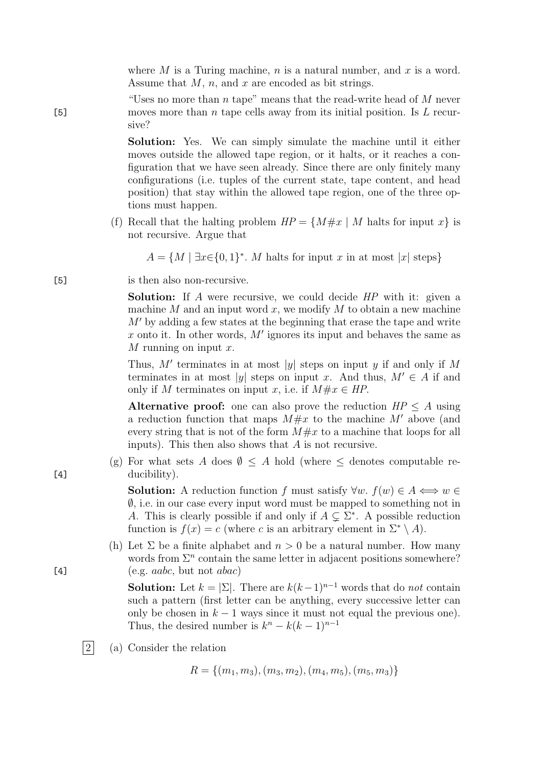where  $M$  is a Turing machine,  $n$  is a natural number, and  $x$  is a word. Assume that  $M$ ,  $n$ , and  $x$  are encoded as bit strings.

"Uses no more than n tape" means that the read-write head of  $M$  never [5] moves more than *n* tape cells away from its initial position. Is  $L$  recursive?

> Solution: Yes. We can simply simulate the machine until it either moves outside the allowed tape region, or it halts, or it reaches a configuration that we have seen already. Since there are only finitely many configurations (i.e. tuples of the current state, tape content, and head position) that stay within the allowed tape region, one of the three options must happen.

(f) Recall that the halting problem  $HP = \{M \# x \mid M \text{ halts for input } x\}$  is not recursive. Argue that

 $A = \{M \mid \exists x \in \{0,1\}^*$ . M halts for input x in at most |x| steps}

[5] is then also non-recursive.

Solution: If A were recursive, we could decide HP with it: given a machine  $M$  and an input word  $x$ , we modify  $M$  to obtain a new machine  $M'$  by adding a few states at the beginning that erase the tape and write x onto it. In other words,  $M'$  ignores its input and behaves the same as M running on input  $x$ .

Thus, M' terminates in at most |y| steps on input y if and only if M terminates in at most |y| steps on input x. And thus,  $M' \in A$  if and only if M terminates on input x, i.e. if  $M \# x \in HP$ .

Alternative proof: one can also prove the reduction  $HP \leq A$  using a reduction function that maps  $M \# x$  to the machine M' above (and every string that is not of the form  $M \# x$  to a machine that loops for all inputs). This then also shows that A is not recursive.

(g) For what sets A does  $\emptyset \leq A$  hold (where  $\leq$  denotes computable re-[4] ducibility).

> **Solution:** A reduction function f must satisfy  $\forall w. f(w) \in A \iff w \in \mathbb{R}$  $\emptyset$ , i.e. in our case every input word must be mapped to something not in A. This is clearly possible if and only if  $A \subsetneq \Sigma^*$ . A possible reduction function is  $f(x) = c$  (where c is an arbitrary element in  $\Sigma^* \setminus A$ ).

(h) Let  $\Sigma$  be a finite alphabet and  $n > 0$  be a natural number. How many words from  $\Sigma<sup>n</sup>$  contain the same letter in adjacent positions somewhere? [4]  $(e.g. \,aabc, \,but \,not \,abac)$ 

> **Solution:** Let  $k = |\Sigma|$ . There are  $k(k-1)^{n-1}$  words that do not contain such a pattern (first letter can be anything, every successive letter can only be chosen in  $k - 1$  ways since it must not equal the previous one). Thus, the desired number is  $k^{n} - k(k-1)^{n-1}$

 $|2|$  (a) Consider the relation

 $R = \{(m_1, m_3), (m_3, m_2), (m_4, m_5), (m_5, m_3)\}\$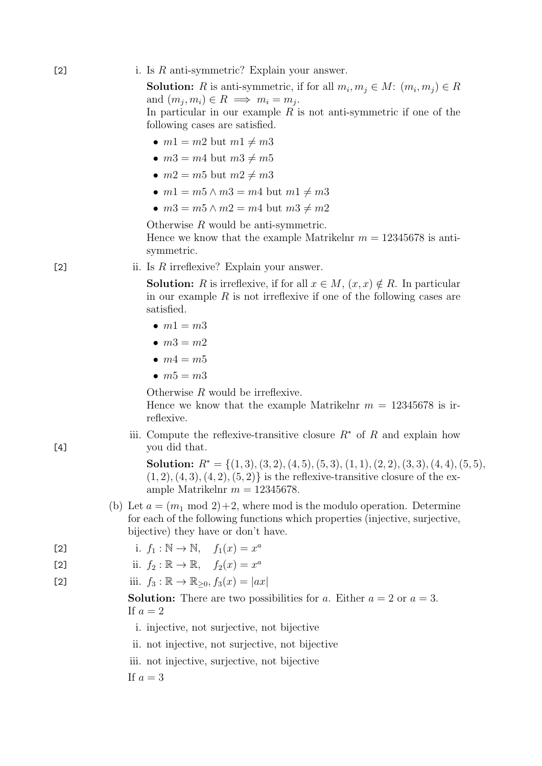### [2] i. Is  $R$  anti-symmetric? Explain your answer.

**Solution:** R is anti-symmetric, if for all  $m_i, m_j \in M$ :  $(m_i, m_j) \in R$ and  $(m_j, m_i) \in R \implies m_i = m_j$ . In particular in our example  $R$  is not anti-symmetric if one of the following cases are satisfied.

- $m1 = m2$  but  $m1 \neq m3$
- $m3 = m4$  but  $m3 \neq m5$
- $m2 = m5$  but  $m2 \neq m3$
- $m1 = m5 \wedge m3 = m4$  but  $m1 \neq m3$
- $m3 = m5 \land m2 = m4$  but  $m3 \neq m2$

Otherwise R would be anti-symmetric. Hence we know that the example Matrikelnr  $m = 12345678$  is antisymmetric.

[2] ii. Is  $R$  irreflexive? Explain your answer.

**Solution:** R is irreflexive, if for all  $x \in M$ ,  $(x, x) \notin R$ . In particular in our example  $R$  is not irreflexive if one of the following cases are satisfied.

- $\bullet$   $m1 = m3$
- $m3 = m2$
- $\bullet$   $m4 = m5$
- $m5 = m3$

Otherwise R would be irreflexive.

Hence we know that the example Matrikelnr  $m = 12345678$  is irreflexive.

iii. Compute the reflexive-transitive closure  $R^*$  of R and explain how [4] you did that.

> Solution:  $R^* = \{(1,3), (3,2), (4,5), (5,3), (1,1), (2,2), (3,3), (4,4), (5,5),$  $(1, 2), (4, 3), (4, 2), (5, 2)$  is the reflexive-transitive closure of the example Matrikelnr  $m = 12345678$ .

(b) Let  $a = (m_1 \mod 2) + 2$ , where mod is the modulo operation. Determine for each of the following functions which properties (injective, surjective, bijective) they have or don't have.

$$
i. \t f_1 : \mathbb{N} \to \mathbb{N}, \t f_1(x) = x^a
$$

ii. f<sup>2</sup> : R → R, f2(x) = x a [2]

[2] iii.  $f_3 : \mathbb{R} \to \mathbb{R}_{\geq 0}, f_3(x) = |ax|$ 

**Solution:** There are two possibilities for a. Either  $a = 2$  or  $a = 3$ . If  $a=2$ 

- i. injective, not surjective, not bijective
- ii. not injective, not surjective, not bijective
- iii. not injective, surjective, not bijective

If  $a=3$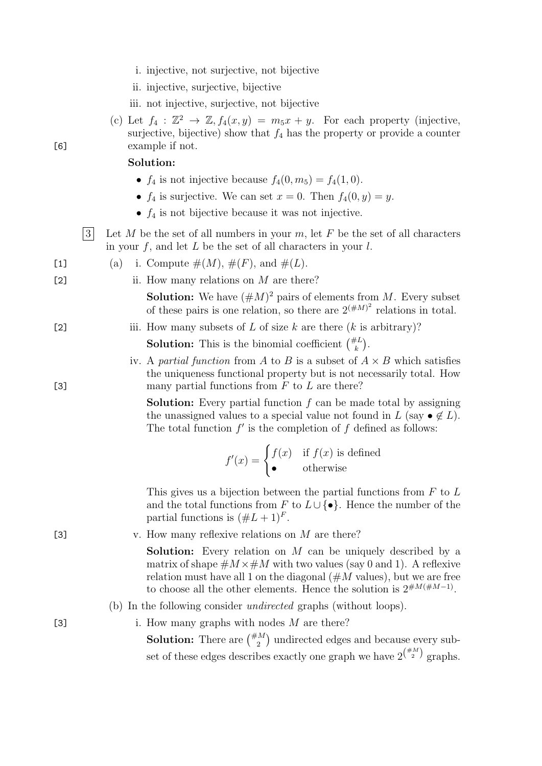- i. injective, not surjective, not bijective
- ii. injective, surjective, bijective
- iii. not injective, surjective, not bijective
- (c) Let  $f_4: \mathbb{Z}^2 \to \mathbb{Z}, f_4(x, y) = m_5x + y$ . For each property (injective, surjective, bijective) show that  $f_4$  has the property or provide a counter [6] example if not.

### Solution:

- $f_4$  is not injective because  $f_4(0, m_5) = f_4(1, 0)$ .
- $f_4$  is surjective. We can set  $x = 0$ . Then  $f_4(0, y) = y$ .
- $f_4$  is not bijective because it was not injective.
- $|3|$  Let M be the set of all numbers in your m, let F be the set of all characters in your  $f$ , and let  $L$  be the set of all characters in your  $l$ .

[1] (a) i. Compute 
$$
\#(M)
$$
,  $\#(F)$ , and  $\#(L)$ .

[2] ii. How many relations on  $M$  are there?

**Solution:** We have  $(\#M)^2$  pairs of elements from M. Every subset of these pairs is one relation, so there are  $2^{(\#M)^2}$  relations in total.

# [2] iii. How many subsets of L of size k are there  $(k \text{ is arbitrary})$ ? **Solution:** This is the binomial coefficient  $\binom{\#L}{k}$ .

iv. A partial function from A to B is a subset of  $A \times B$  which satisfies the uniqueness functional property but is not necessarily total. How [3] many partial functions from  $F$  to  $L$  are there?

> **Solution:** Every partial function  $f$  can be made total by assigning the unassigned values to a special value not found in L (say  $\bullet \notin L$ ). The total function  $f'$  is the completion of  $f$  defined as follows:

$$
f'(x) = \begin{cases} f(x) & \text{if } f(x) \text{ is defined} \\ \bullet & \text{otherwise} \end{cases}
$$

This gives us a bijection between the partial functions from  $F$  to  $L$ and the total functions from F to  $L \cup \{\bullet\}$ . Hence the number of the partial functions is  $(\#L+1)^F$ .

[3]  $v.$  How many reflexive relations on  $M$  are there?

Solution: Every relation on M can be uniquely described by a matrix of shape  $\#M \times \#M$  with two values (say 0 and 1). A reflexive relation must have all 1 on the diagonal  $(\#M)$  values), but we are free to choose all the other elements. Hence the solution is  $2^{\#M(\#M-1)}$ .

## (b) In the following consider undirected graphs (without loops).

[3] i. How many graphs with nodes M are there?

**Solution:** There are  $\binom{m}{2}$  undirected edges and because every subset of these edges describes exactly one graph we have  $2^{(\frac{\#M}{2})}$  graphs.